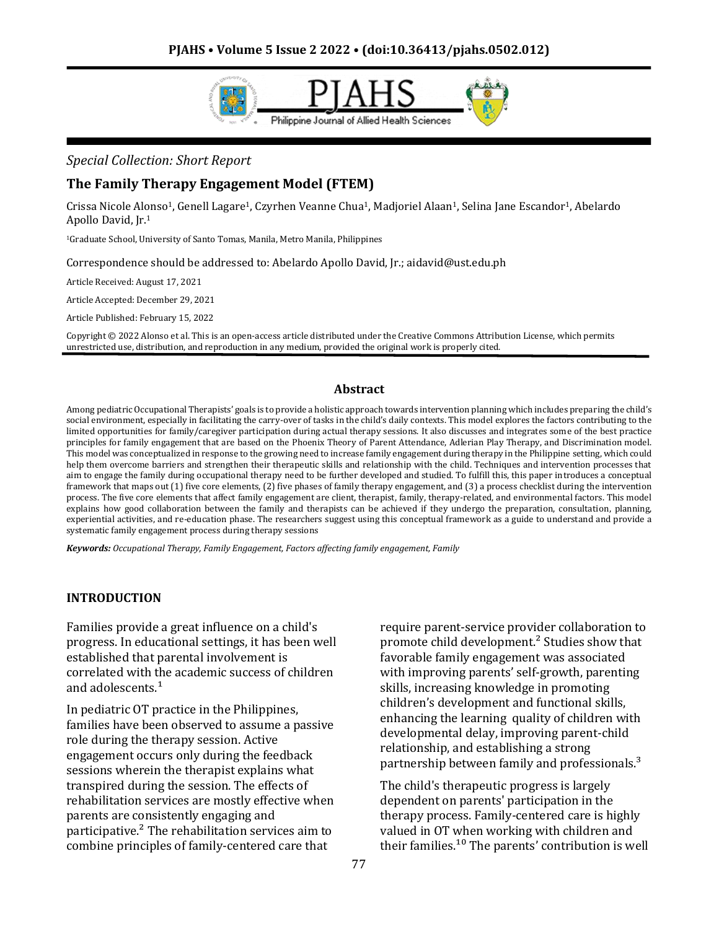

# *Special Collection: Short Report*

### **The Family Therapy Engagement Model (FTEM)**

Crissa Nicole Alonso1, Genell Lagare1, Czyrhen Veanne Chua1, Madjoriel Alaan1, Selina Jane Escandor1, Abelardo Apollo David, Jr.<sup>1</sup>

<sup>1</sup>Graduate School, University of Santo Tomas, Manila, Metro Manila, Philippines

Correspondence should be addressed to: Abelardo Apollo David, Jr.; aidavid@ust.edu.ph

Article Received: August 17, 2021

Article Accepted: December 29, 2021

Article Published: February 15, 2022

Copyright © 2022 Alonso et al. This is an open-access article distributed under the Creative Commons Attribution License, which permits unrestricted use, distribution, and reproduction in any medium, provided the original work is properly cited.

#### **Abstract**

Among pediatric Occupational Therapists' goals is to provide a holistic approach towards intervention planning which includes preparing the child's social environment, especially in facilitating the carry-over of tasks in the child's daily contexts. This model explores the factors contributing to the limited opportunities for family/caregiver participation during actual therapy sessions. It also discusses and integrates some of the best practice principles for family engagement that are based on the Phoenix Theory of Parent Attendance, Adlerian Play Therapy, and Discrimination model. This model was conceptualized in response to the growing need to increase family engagement during therapy in the Philippine setting, which could help them overcome barriers and strengthen their therapeutic skills and relationship with the child. Techniques and intervention processes that aim to engage the family during occupational therapy need to be further developed and studied. To fulfill this, this paper introduces a conceptual framework that maps out (1) five core elements, (2) five phases of family therapy engagement, and (3) a process checklist during the intervention process. The five core elements that affect family engagement are client, therapist, family, therapy-related, and environmental factors. This model explains how good collaboration between the family and therapists can be achieved if they undergo the preparation, consultation, planning, experiential activities, and re-education phase. The researchers suggest using this conceptual framework as a guide to understand and provide a systematic family engagement process during therapy sessions

*Keywords: Occupational Therapy, Family Engagement, Factors affecting family engagement, Family*

#### **INTRODUCTION**

Families provide a great influence on a child's progress. In educational settings, it has been well established that parental involvement is correlated with the academic success of children and adolescents.<sup>1</sup>

In pediatric OT practice in the Philippines, families have been observed to assume a passive role during the therapy session. Active engagement occurs only during the feedback sessions wherein the therapist explains what transpired during the session. The effects of rehabilitation services are mostly effective when parents are consistently engaging and participative.² The rehabilitation services aim to combine principles of family-centered care that

require parent-service provider collaboration to promote child development.² Studies show that favorable family engagement was associated with improving parents' self-growth, parenting skills, increasing knowledge in promoting children's development and functional skills, enhancing the learning quality of children with developmental delay, improving parent-child relationship, and establishing a strong partnership between family and professionals.<sup>3</sup>

The child's therapeutic progress is largely dependent on parents' participation in the therapy process. Family-centered care is highly valued in OT when working with children and their families. $10$  The parents' contribution is well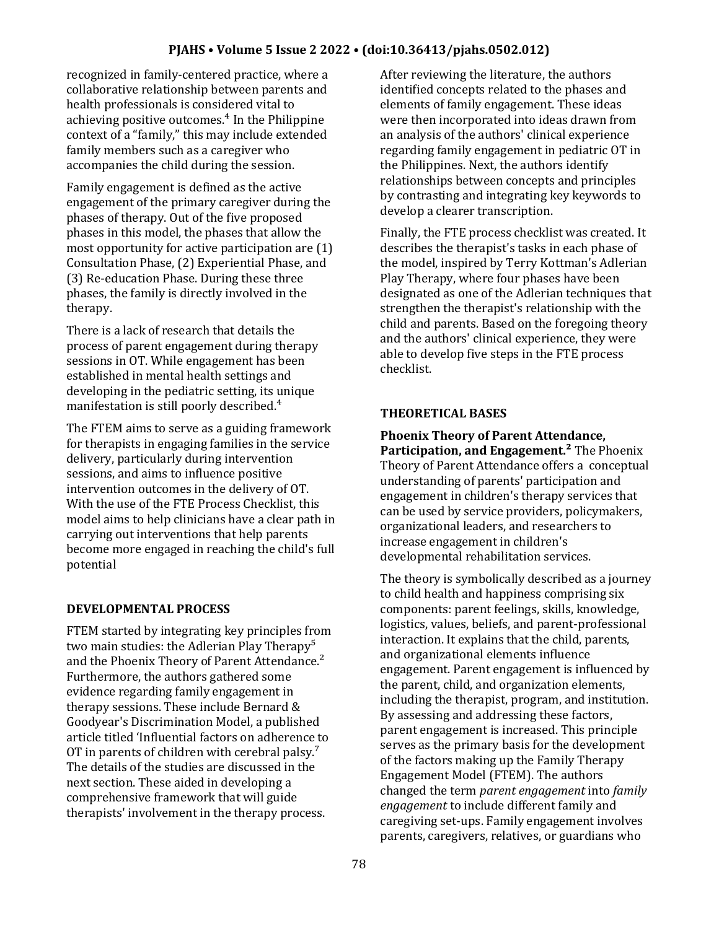### **PJAHS • Volume 5 Issue 2 2022 • (doi:10.36413/pjahs.0502.012)**

recognized in family-centered practice, where a collaborative relationship between parents and health professionals is considered vital to achieving positive outcomes.<sup>4</sup> In the Philippine context of a "family," this may include extended family members such as a caregiver who accompanies the child during the session.

Family engagement is defined as the active engagement of the primary caregiver during the phases of therapy. Out of the five proposed phases in this model, the phases that allow the most opportunity for active participation are (1) Consultation Phase, (2) Experiential Phase, and (3) Re-education Phase. During these three phases, the family is directly involved in the therapy.

There is a lack of research that details the process of parent engagement during therapy sessions in OT. While engagement has been established in mental health settings and developing in the pediatric setting, its unique manifestation is still poorly described.<sup>4</sup>

The FTEM aims to serve as a guiding framework for therapists in engaging families in the service delivery, particularly during intervention sessions, and aims to influence positive intervention outcomes in the delivery of OT. With the use of the FTE Process Checklist, this model aims to help clinicians have a clear path in carrying out interventions that help parents become more engaged in reaching the child's full potential

### **DEVELOPMENTAL PROCESS**

FTEM started by integrating key principles from two main studies: the Adlerian Play Therapy<sup>5</sup> and the Phoenix Theory of Parent Attendance.<sup>2</sup> Furthermore, the authors gathered some evidence regarding family engagement in therapy sessions. These include Bernard & Goodyear's Discrimination Model, a published article titled 'Influential factors on adherence to OT in parents of children with cerebral palsy.<sup>7</sup> The details of the studies are discussed in the next section. These aided in developing a comprehensive framework that will guide therapists' involvement in the therapy process.

After reviewing the literature, the authors identified concepts related to the phases and elements of family engagement. These ideas were then incorporated into ideas drawn from an analysis of the authors' clinical experience regarding family engagement in pediatric OT in the Philippines. Next, the authors identify relationships between concepts and principles by contrasting and integrating key keywords to develop a clearer transcription.

Finally, the FTE process checklist was created. It describes the therapist's tasks in each phase of the model, inspired by Terry Kottman's Adlerian Play Therapy, where four phases have been designated as one of the Adlerian techniques that strengthen the therapist's relationship with the child and parents. Based on the foregoing theory and the authors' clinical experience, they were able to develop five steps in the FTE process checklist.

### **THEORETICAL BASES**

**Phoenix Theory of Parent Attendance, Participation, and Engagement.²** The Phoenix Theory of Parent Attendance offers a conceptual understanding of parents' participation and engagement in children's therapy services that can be used by service providers, policymakers, organizational leaders, and researchers to increase engagement in children's developmental rehabilitation services.

The theory is symbolically described as a journey to child health and happiness comprising six components: parent feelings, skills, knowledge, logistics, values, beliefs, and parent-professional interaction. It explains that the child, parents, and organizational elements influence engagement. Parent engagement is influenced by the parent, child, and organization elements, including the therapist, program, and institution. By assessing and addressing these factors, parent engagement is increased. This principle serves as the primary basis for the development of the factors making up the Family Therapy Engagement Model (FTEM). The authors changed the term *parent engagement* into *family engagement* to include different family and caregiving set-ups. Family engagement involves parents, caregivers, relatives, or guardians who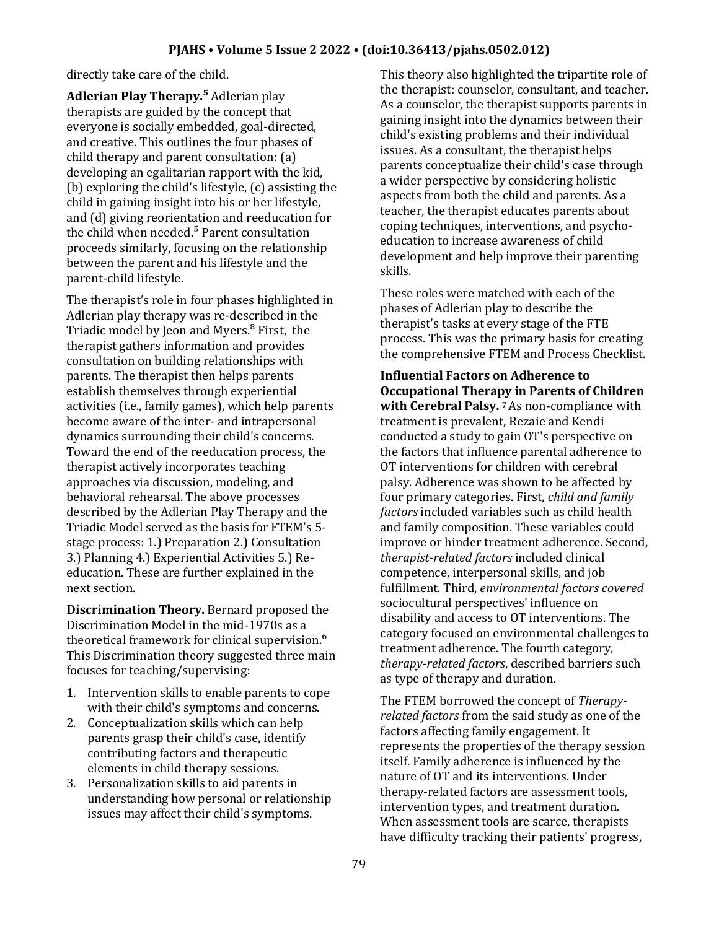directly take care of the child.

**Adlerian Play Therapy.⁵** Adlerian play therapists are guided by the concept that everyone is socially embedded, goal-directed, and creative. This outlines the four phases of child therapy and parent consultation: (a) developing an egalitarian rapport with the kid, (b) exploring the child's lifestyle, (c) assisting the child in gaining insight into his or her lifestyle, and (d) giving reorientation and reeducation for the child when needed.<sup>5</sup> Parent consultation proceeds similarly, focusing on the relationship between the parent and his lifestyle and the parent-child lifestyle.

The therapist's role in four phases highlighted in Adlerian play therapy was re-described in the Triadic model by Jeon and Myers.<sup>8</sup> First, the therapist gathers information and provides consultation on building relationships with parents. The therapist then helps parents establish themselves through experiential activities (i.e., family games), which help parents become aware of the inter- and intrapersonal dynamics surrounding their child's concerns. Toward the end of the reeducation process, the therapist actively incorporates teaching approaches via discussion, modeling, and behavioral rehearsal. The above processes described by the Adlerian Play Therapy and the Triadic Model served as the basis for FTEM's 5 stage process: 1.) Preparation 2.) Consultation 3.) Planning 4.) Experiential Activities 5.) Reeducation. These are further explained in the next section.

**Discrimination Theory.** Bernard proposed the Discrimination Model in the mid-1970s as a theoretical framework for clinical supervision.<sup>6</sup> This Discrimination theory suggested three main focuses for teaching/supervising:

- 1. Intervention skills to enable parents to cope with their child's symptoms and concerns.
- 2. Conceptualization skills which can help parents grasp their child's case, identify contributing factors and therapeutic elements in child therapy sessions.
- 3. Personalization skills to aid parents in understanding how personal or relationship issues may affect their child's symptoms.

This theory also highlighted the tripartite role of the therapist: counselor, consultant, and teacher. As a counselor, the therapist supports parents in gaining insight into the dynamics between their child's existing problems and their individual issues. As a consultant, the therapist helps parents conceptualize their child's case through a wider perspective by considering holistic aspects from both the child and parents. As a teacher, the therapist educates parents about coping techniques, interventions, and psychoeducation to increase awareness of child development and help improve their parenting skills.

These roles were matched with each of the phases of Adlerian play to describe the therapist's tasks at every stage of the FTE process. This was the primary basis for creating the comprehensive FTEM and Process Checklist.

**Influential Factors on Adherence to Occupational Therapy in Parents of Children with Cerebral Palsy. 7** As non-compliance with treatment is prevalent, Rezaie and Kendi conducted a study to gain OT's perspective on the factors that influence parental adherence to OT interventions for children with cerebral palsy. Adherence was shown to be affected by four primary categories. First, *child and family factors* included variables such as child health and family composition. These variables could improve or hinder treatment adherence. Second, *therapist-related factors* included clinical competence, interpersonal skills, and job fulfillment. Third, *environmental factors covered*  sociocultural perspectives' influence on disability and access to OT interventions. The category focused on environmental challenges to treatment adherence. The fourth category, *therapy-related factors*, described barriers such as type of therapy and duration.

The FTEM borrowed the concept of *Therapyrelated factors* from the said study as one of the factors affecting family engagement. It represents the properties of the therapy session itself. Family adherence is influenced by the nature of OT and its interventions. Under therapy-related factors are assessment tools, intervention types, and treatment duration. When assessment tools are scarce, therapists have difficulty tracking their patients' progress,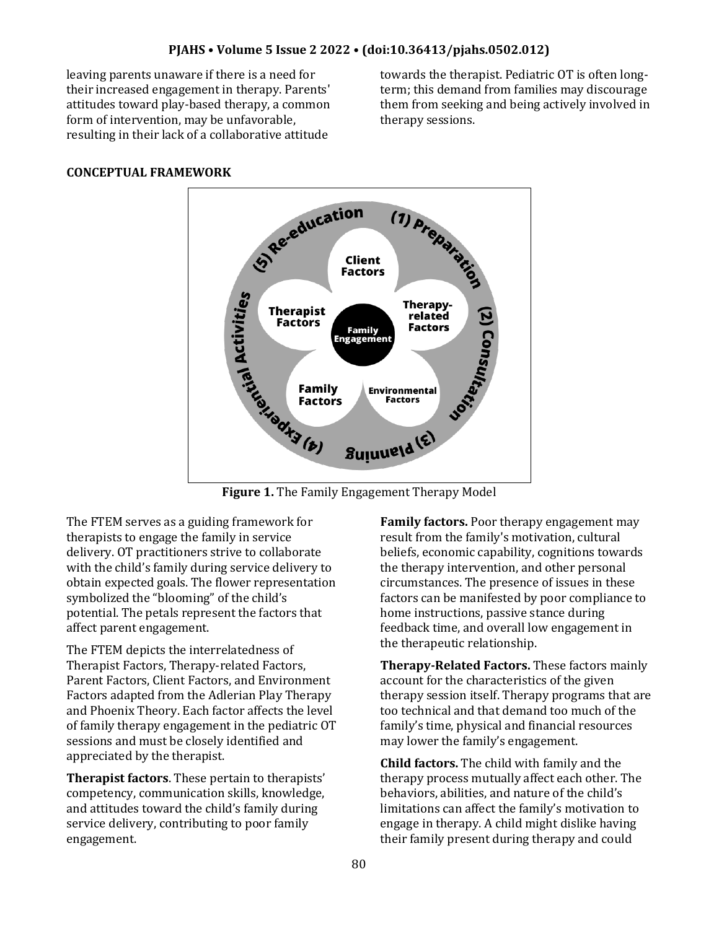leaving parents unaware if there is a need for their increased engagement in therapy. Parents' attitudes toward play-based therapy, a common form of intervention, may be unfavorable, resulting in their lack of a collaborative attitude

towards the therapist. Pediatric OT is often longterm; this demand from families may discourage them from seeking and being actively involved in therapy sessions.

# **CONCEPTUAL FRAMEWORK**



The FTEM serves as a guiding framework for therapists to engage the family in service delivery. OT practitioners strive to collaborate with the child's family during service delivery to obtain expected goals. The flower representation symbolized the "blooming" of the child's potential. The petals represent the factors that affect parent engagement.

The FTEM depicts the interrelatedness of Therapist Factors, Therapy-related Factors, Parent Factors, Client Factors, and Environment Factors adapted from the Adlerian Play Therapy and Phoenix Theory. Each factor affects the level of family therapy engagement in the pediatric OT sessions and must be closely identified and appreciated by the therapist.

**Therapist factors**. These pertain to therapists' competency, communication skills, knowledge, and attitudes toward the child's family during service delivery, contributing to poor family engagement.

**Family factors.** Poor therapy engagement may result from the family's motivation, cultural beliefs, economic capability, cognitions towards the therapy intervention, and other personal circumstances. The presence of issues in these factors can be manifested by poor compliance to home instructions, passive stance during feedback time, and overall low engagement in the therapeutic relationship.

**Therapy-Related Factors.** These factors mainly account for the characteristics of the given therapy session itself. Therapy programs that are too technical and that demand too much of the family's time, physical and financial resources may lower the family's engagement.

**Child factors.** The child with family and the therapy process mutually affect each other. The behaviors, abilities, and nature of the child's limitations can affect the family's motivation to engage in therapy. A child might dislike having their family present during therapy and could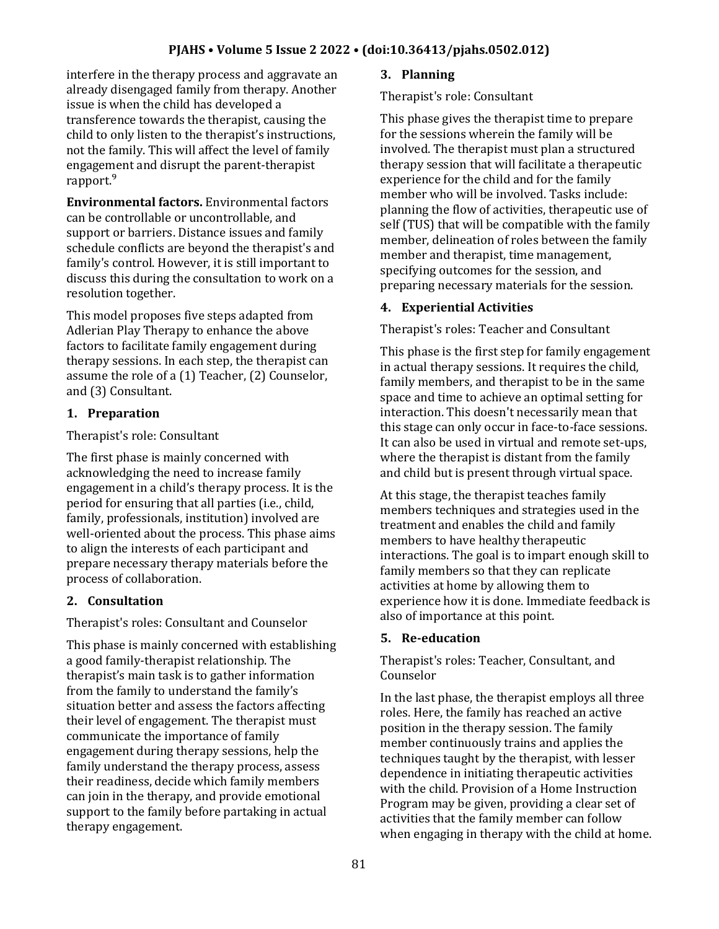## **PJAHS • Volume 5 Issue 2 2022 • (doi:10.36413/pjahs.0502.012)**

interfere in the therapy process and aggravate an already disengaged family from therapy. Another issue is when the child has developed a transference towards the therapist, causing the child to only listen to the therapist's instructions, not the family. This will affect the level of family engagement and disrupt the parent-therapist rapport.<sup>9</sup>

**Environmental factors.** Environmental factors can be controllable or uncontrollable, and support or barriers. Distance issues and family schedule conflicts are beyond the therapist's and family's control. However, it is still important to discuss this during the consultation to work on a resolution together.

This model proposes five steps adapted from Adlerian Play Therapy to enhance the above factors to facilitate family engagement during therapy sessions. In each step, the therapist can assume the role of a (1) Teacher, (2) Counselor, and (3) Consultant.

### **1. Preparation**

#### Therapist's role: Consultant

The first phase is mainly concerned with acknowledging the need to increase family engagement in a child's therapy process. It is the period for ensuring that all parties (i.e., child, family, professionals, institution) involved are well-oriented about the process. This phase aims to align the interests of each participant and prepare necessary therapy materials before the process of collaboration.

### **2. Consultation**

Therapist's roles: Consultant and Counselor

This phase is mainly concerned with establishing a good family-therapist relationship. The therapist's main task is to gather information from the family to understand the family's situation better and assess the factors affecting their level of engagement. The therapist must communicate the importance of family engagement during therapy sessions, help the family understand the therapy process, assess their readiness, decide which family members can join in the therapy, and provide emotional support to the family before partaking in actual therapy engagement.

### **3. Planning**

Therapist's role: Consultant

This phase gives the therapist time to prepare for the sessions wherein the family will be involved. The therapist must plan a structured therapy session that will facilitate a therapeutic experience for the child and for the family member who will be involved. Tasks include: planning the flow of activities, therapeutic use of self (TUS) that will be compatible with the family member, delineation of roles between the family member and therapist, time management, specifying outcomes for the session, and preparing necessary materials for the session.

### **4. Experiential Activities**

Therapist's roles: Teacher and Consultant

This phase is the first step for family engagement in actual therapy sessions. It requires the child, family members, and therapist to be in the same space and time to achieve an optimal setting for interaction. This doesn't necessarily mean that this stage can only occur in face-to-face sessions. It can also be used in virtual and remote set-ups, where the therapist is distant from the family and child but is present through virtual space.

At this stage, the therapist teaches family members techniques and strategies used in the treatment and enables the child and family members to have healthy therapeutic interactions. The goal is to impart enough skill to family members so that they can replicate activities at home by allowing them to experience how it is done. Immediate feedback is also of importance at this point.

### **5. Re-education**

Therapist's roles: Teacher, Consultant, and Counselor

In the last phase, the therapist employs all three roles. Here, the family has reached an active position in the therapy session. The family member continuously trains and applies the techniques taught by the therapist, with lesser dependence in initiating therapeutic activities with the child. Provision of a Home Instruction Program may be given, providing a clear set of activities that the family member can follow when engaging in therapy with the child at home.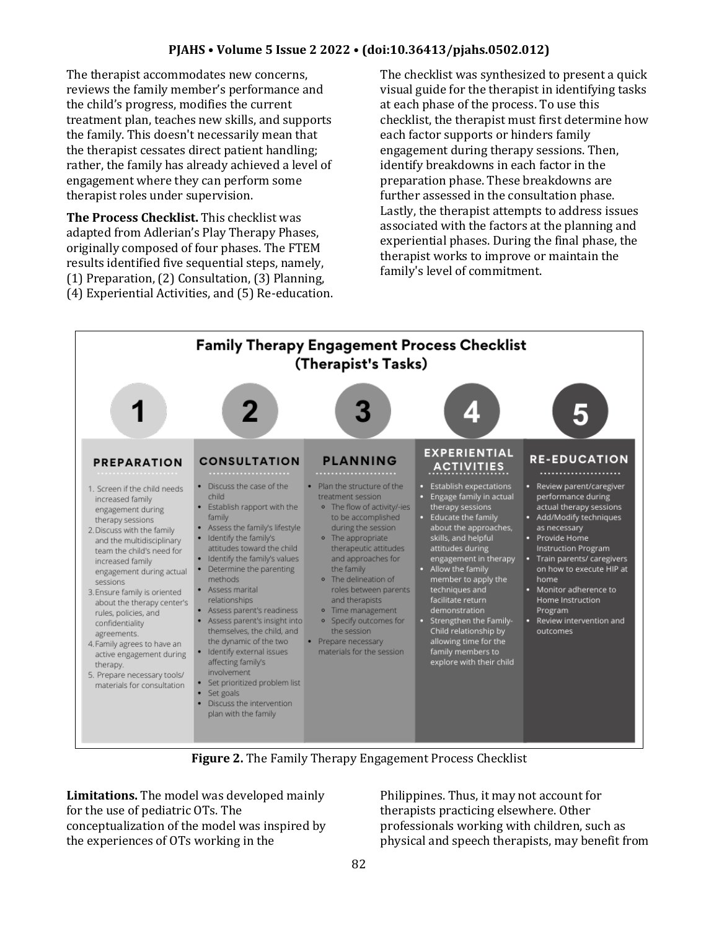## **PJAHS • Volume 5 Issue 2 2022 • (doi:10.36413/pjahs.0502.012)**

The therapist accommodates new concerns, reviews the family member's performance and the child's progress, modifies the current treatment plan, teaches new skills, and supports the family. This doesn't necessarily mean that the therapist cessates direct patient handling; rather, the family has already achieved a level of engagement where they can perform some therapist roles under supervision.

**The Process Checklist.** This checklist was adapted from Adlerian's Play Therapy Phases, originally composed of four phases. The FTEM results identified five sequential steps, namely, (1) Preparation, (2) Consultation, (3) Planning, (4) Experiential Activities, and (5) Re-education. The checklist was synthesized to present a quick visual guide for the therapist in identifying tasks at each phase of the process. To use this checklist, the therapist must first determine how each factor supports or hinders family engagement during therapy sessions. Then, identify breakdowns in each factor in the preparation phase. These breakdowns are further assessed in the consultation phase. Lastly, the therapist attempts to address issues associated with the factors at the planning and experiential phases. During the final phase, the therapist works to improve or maintain the family's level of commitment.



**Figure 2.** The Family Therapy Engagement Process Checklist

**Limitations.** The model was developed mainly for the use of pediatric OTs. The conceptualization of the model was inspired by the experiences of OTs working in the

Philippines. Thus, it may not account for therapists practicing elsewhere. Other professionals working with children, such as physical and speech therapists, may benefit from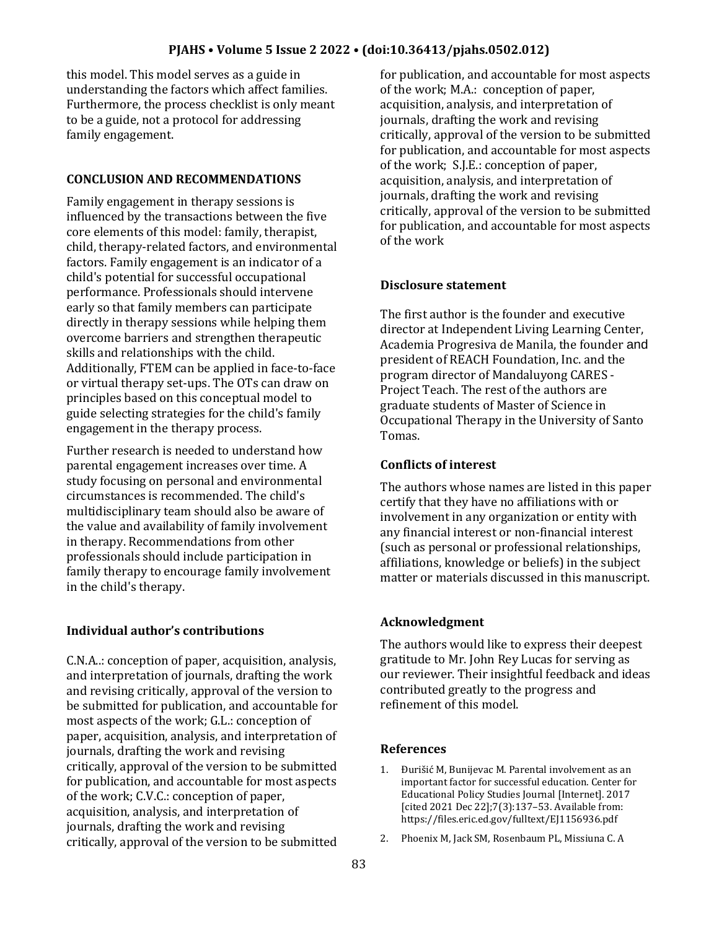this model. This model serves as a guide in understanding the factors which affect families. Furthermore, the process checklist is only meant to be a guide, not a protocol for addressing family engagement.

# **CONCLUSION AND RECOMMENDATIONS**

Family engagement in therapy sessions is influenced by the transactions between the five core elements of this model: family, therapist, child, therapy-related factors, and environmental factors. Family engagement is an indicator of a child's potential for successful occupational performance. Professionals should intervene early so that family members can participate directly in therapy sessions while helping them overcome barriers and strengthen therapeutic skills and relationships with the child. Additionally, FTEM can be applied in face-to-face or virtual therapy set-ups. The OTs can draw on principles based on this conceptual model to guide selecting strategies for the child's family engagement in the therapy process.

Further research is needed to understand how parental engagement increases over time. A study focusing on personal and environmental circumstances is recommended. The child's multidisciplinary team should also be aware of the value and availability of family involvement in therapy. Recommendations from other professionals should include participation in family therapy to encourage family involvement in the child's therapy.

# **Individual author's contributions**

C.N.A..: conception of paper, acquisition, analysis, and interpretation of journals, drafting the work and revising critically, approval of the version to be submitted for publication, and accountable for most aspects of the work; G.L.: conception of paper, acquisition, analysis, and interpretation of journals, drafting the work and revising critically, approval of the version to be submitted for publication, and accountable for most aspects of the work; C.V.C.: conception of paper, acquisition, analysis, and interpretation of journals, drafting the work and revising critically, approval of the version to be submitted

for publication, and accountable for most aspects of the work; M.A.: conception of paper, acquisition, analysis, and interpretation of journals, drafting the work and revising critically, approval of the version to be submitted for publication, and accountable for most aspects of the work; S.J.E.: conception of paper, acquisition, analysis, and interpretation of journals, drafting the work and revising critically, approval of the version to be submitted for publication, and accountable for most aspects of the work

# **Disclosure statement**

The first author is the founder and executive director at Independent Living Learning Center, Academia Progresiva de Manila, the founder and president of REACH Foundation, Inc. and the program director of Mandaluyong CARES - Project Teach. The rest of the authors are graduate students of Master of Science in Occupational Therapy in the University of Santo Tomas.

## **Conflicts of interest**

The authors whose names are listed in this paper certify that they have no affiliations with or involvement in any organization or entity with any financial interest or non-financial interest (such as personal or professional relationships, affiliations, knowledge or beliefs) in the subject matter or materials discussed in this manuscript.

# **Acknowledgment**

The authors would like to express their deepest gratitude to Mr. John Rey Lucas for serving as our reviewer. Their insightful feedback and ideas contributed greatly to the progress and refinement of this model.

## **References**

- 1. Đurišić M, Bunijevac M. Parental involvement as an important factor for successful education. Center for Educational Policy Studies Journal [Internet]. 2017 [cited 2021 Dec 22];7(3):137–53. Available from: https://files.eric.ed.gov/fulltext/EJ1156936.pdf
- 2. Phoenix M, Jack SM, Rosenbaum PL, Missiuna C. A